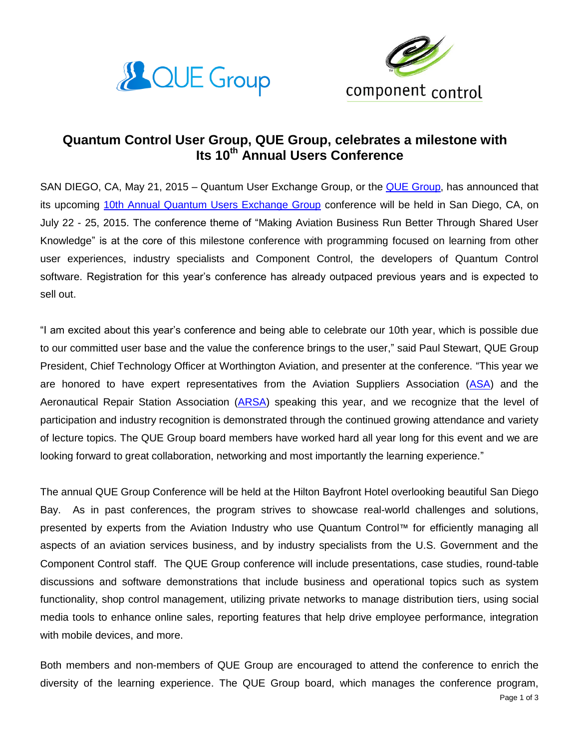



## **Quantum Control User Group, QUE Group, celebrates a milestone with Its 10th Annual Users Conference**

SAN DIEGO, CA, May 21, 2015 – Quantum User Exchange Group, or the [QUE Group,](http://quegroup.camp7.org/about) has announced that its upcoming [10th Annual Quantum Users Exchange Group](http://quegroup.camp7.org/event-1810322) conference will be held in San Diego, CA, on July 22 - 25, 2015. The conference theme of "Making Aviation Business Run Better Through Shared User Knowledge" is at the core of this milestone conference with programming focused on learning from other user experiences, industry specialists and Component Control, the developers of Quantum Control software. Registration for this year's conference has already outpaced previous years and is expected to sell out.

"I am excited about this year's conference and being able to celebrate our 10th year, which is possible due to our committed user base and the value the conference brings to the user," said Paul Stewart, QUE Group President, Chief Technology Officer at Worthington Aviation, and presenter at the conference. "This year we are honored to have expert representatives from the Aviation Suppliers Association [\(ASA\)](http://www.aviationsuppliers.org/) and the Aeronautical Repair Station Association [\(ARSA\)](http://arsa.org/) speaking this year, and we recognize that the level of participation and industry recognition is demonstrated through the continued growing attendance and variety of lecture topics. The QUE Group board members have worked hard all year long for this event and we are looking forward to great collaboration, networking and most importantly the learning experience."

The annual QUE Group Conference will be held at the Hilton Bayfront Hotel overlooking beautiful San Diego Bay. As in past conferences, the program strives to showcase real-world challenges and solutions, presented by experts from the Aviation Industry who use Quantum Control™ for efficiently managing all aspects of an aviation services business, and by industry specialists from the U.S. Government and the Component Control staff. The QUE Group conference will include presentations, case studies, round-table discussions and software demonstrations that include business and operational topics such as system functionality, shop control management, utilizing private networks to manage distribution tiers, using social media tools to enhance online sales, reporting features that help drive employee performance, integration with mobile devices, and more.

Both members and non-members of QUE Group are encouraged to attend the conference to enrich the diversity of the learning experience. The QUE Group board, which manages the conference program,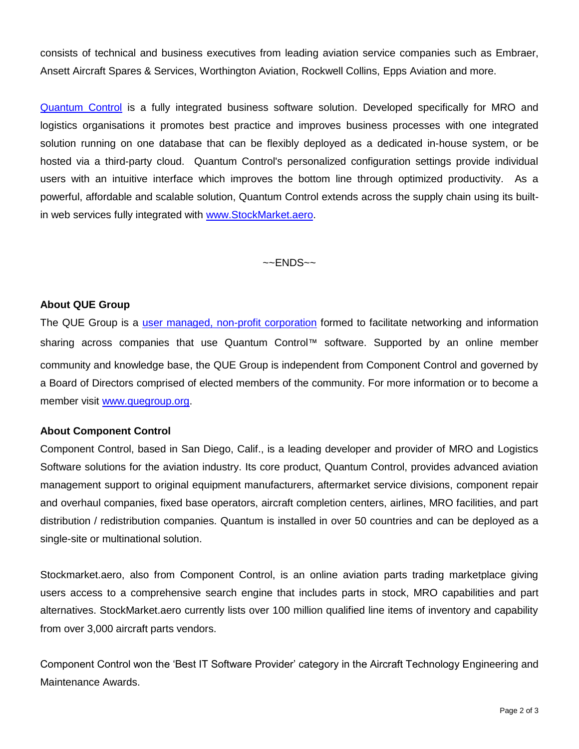consists of technical and business executives from leading aviation service companies such as Embraer, Ansett Aircraft Spares & Services, Worthington Aviation, Rockwell Collins, Epps Aviation and more.

[Quantum Control](http://www.componentcontrol.com/quantum/quantum.html) is a fully integrated business software solution. Developed specifically for MRO and logistics organisations it promotes best practice and improves business processes with one integrated solution running on one database that can be flexibly deployed as a dedicated in-house system, or be hosted via a third-party cloud. Quantum Control's personalized configuration settings provide individual users with an intuitive interface which improves the bottom line through optimized productivity. As a powerful, affordable and scalable solution, Quantum Control extends across the supply chain using its builtin web services fully integrated with [www.StockMarket.aero.](http://www.stockmarket.aero/)

 $\sim$  ENDS $\sim$ 

## **About QUE Group**

The QUE Group is a [user managed, non-profit corporation](http://quegroup.camp7.org/about) formed to facilitate networking and information sharing across companies that use Quantum Control™ software. Supported by an online member community and knowledge base, the QUE Group is independent from Component Control and governed by a Board of Directors comprised of elected members of the community. For more information or to become a member visit [www.quegroup.org.](http://www.quegroup.org/)

## **About Component Control**

Component Control, based in San Diego, Calif., is a leading developer and provider of MRO and Logistics Software solutions for the aviation industry. Its core product, Quantum Control, provides advanced aviation management support to original equipment manufacturers, aftermarket service divisions, component repair and overhaul companies, fixed base operators, aircraft completion centers, airlines, MRO facilities, and part distribution / redistribution companies. Quantum is installed in over 50 countries and can be deployed as a single-site or multinational solution.

Stockmarket.aero, also from Component Control, is an online aviation parts trading marketplace giving users access to a comprehensive search engine that includes parts in stock, MRO capabilities and part alternatives. StockMarket.aero currently lists over 100 million qualified line items of inventory and capability from over 3,000 aircraft parts vendors.

Component Control won the 'Best IT Software Provider' category in the Aircraft Technology Engineering and Maintenance Awards.